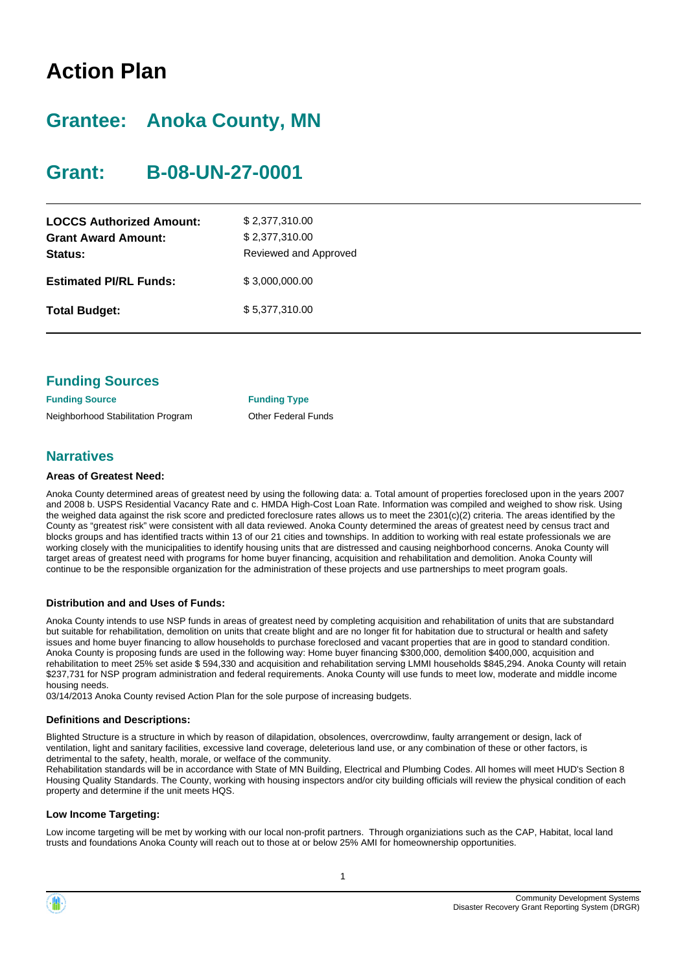# **Action Plan**

# **Grantee: Anoka County, MN**

# **Grant: B-08-UN-27-0001**

| <b>LOCCS Authorized Amount:</b><br><b>Grant Award Amount:</b><br>Status: | \$2,377,310.00<br>\$2,377,310.00<br>Reviewed and Approved |
|--------------------------------------------------------------------------|-----------------------------------------------------------|
| <b>Estimated PI/RL Funds:</b>                                            | \$3,000,000.00                                            |
| <b>Total Budget:</b>                                                     | \$5,377,310.00                                            |

| <b>Funding Sources</b>             |                            |
|------------------------------------|----------------------------|
| <b>Funding Source</b>              | <b>Funding Type</b>        |
| Neighborhood Stabilitation Program | <b>Other Federal Funds</b> |

### **Narratives**

#### **Areas of Greatest Need:**

Anoka County determined areas of greatest need by using the following data: a. Total amount of properties foreclosed upon in the years 2007 and 2008 b. USPS Residential Vacancy Rate and c. HMDA High-Cost Loan Rate. Information was compiled and weighed to show risk. Using the weighed data against the risk score and predicted foreclosure rates allows us to meet the 2301(c)(2) criteria. The areas identified by the County as "greatest risk" were consistent with all data reviewed. Anoka County determined the areas of greatest need by census tract and blocks groups and has identified tracts within 13 of our 21 cities and townships. In addition to working with real estate professionals we are working closely with the municipalities to identify housing units that are distressed and causing neighborhood concerns. Anoka County will target areas of greatest need with programs for home buyer financing, acquisition and rehabilitation and demolition. Anoka County will continue to be the responsible organization for the administration of these projects and use partnerships to meet program goals.

#### **Distribution and and Uses of Funds:**

Anoka County intends to use NSP funds in areas of greatest need by completing acquisition and rehabilitation of units that are substandard but suitable for rehabilitation, demolition on units that create blight and are no longer fit for habitation due to structural or health and safety issues and home buyer financing to allow households to purchase foreclosed and vacant properties that are in good to standard condition. Anoka County is proposing funds are used in the following way: Home buyer financing \$300,000, demolition \$400,000, acquisition and rehabilitation to meet 25% set aside \$ 594,330 and acquisition and rehabilitation serving LMMI households \$845,294. Anoka County will retain \$237,731 for NSP program administration and federal requirements. Anoka County will use funds to meet low, moderate and middle income housing needs.

03/14/2013 Anoka County revised Action Plan for the sole purpose of increasing budgets.

#### **Definitions and Descriptions:**

Blighted Structure is a structure in which by reason of dilapidation, obsolences, overcrowdinw, faulty arrangement or design, lack of ventilation, light and sanitary facilities, excessive land coverage, deleterious land use, or any combination of these or other factors, is detrimental to the safety, health, morale, or welface of the community.

Rehabilitation standards will be in accordance with State of MN Building, Electrical and Plumbing Codes. All homes will meet HUD's Section 8 Housing Quality Standards. The County, working with housing inspectors and/or city building officials will review the physical condition of each property and determine if the unit meets HQS.

#### **Low Income Targeting:**

Low income targeting will be met by working with our local non-profit partners. Through organiziations such as the CAP, Habitat, local land trusts and foundations Anoka County will reach out to those at or below 25% AMI for homeownership opportunities.

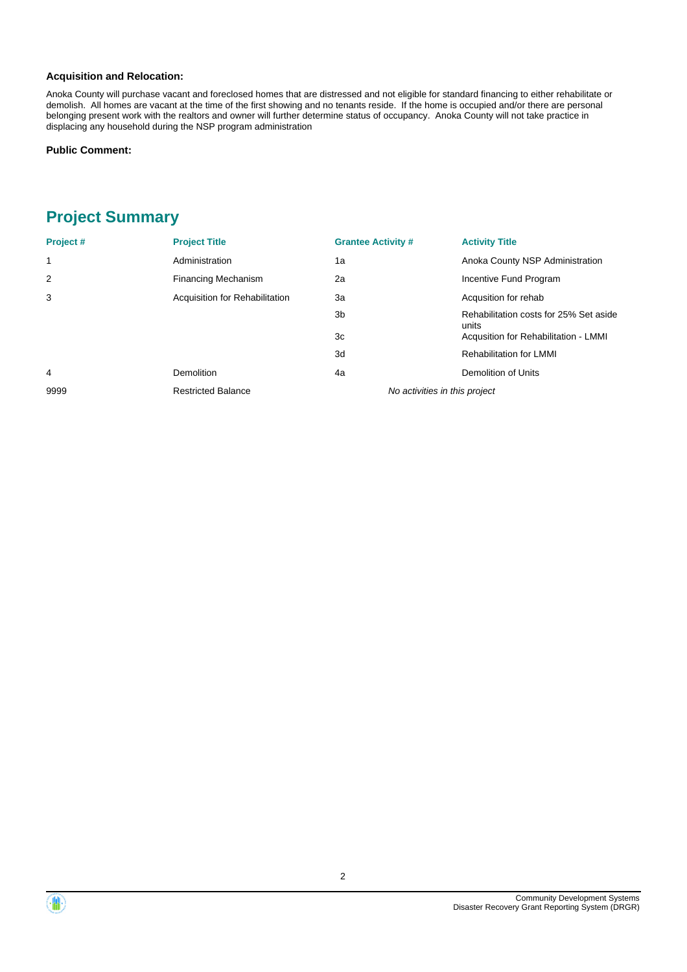#### **Acquisition and Relocation:**

Anoka County will purchase vacant and foreclosed homes that are distressed and not eligible for standard financing to either rehabilitate or demolish. All homes are vacant at the time of the first showing and no tenants reside. If the home is occupied and/or there are personal belonging present work with the realtors and owner will further determine status of occupancy. Anoka County will not take practice in displacing any household during the NSP program administration

#### **Public Comment:**

## **Project Summary**

| Project#     | <b>Project Title</b>           | <b>Grantee Activity #</b>     | <b>Activity Title</b>                           |
|--------------|--------------------------------|-------------------------------|-------------------------------------------------|
| $\mathbf{1}$ | Administration                 | 1a                            | Anoka County NSP Administration                 |
| 2            | <b>Financing Mechanism</b>     | 2a                            | Incentive Fund Program                          |
| 3            | Acquisition for Rehabilitation | Зa                            | Acqusition for rehab                            |
|              |                                | 3 <sub>b</sub>                | Rehabilitation costs for 25% Set aside<br>units |
|              |                                | 3c                            | Acqusition for Rehabilitation - LMMI            |
|              |                                | 3d                            | <b>Rehabilitation for LMMI</b>                  |
| 4            | <b>Demolition</b>              | 4a                            | Demolition of Units                             |
| 9999         | <b>Restricted Balance</b>      | No activities in this project |                                                 |

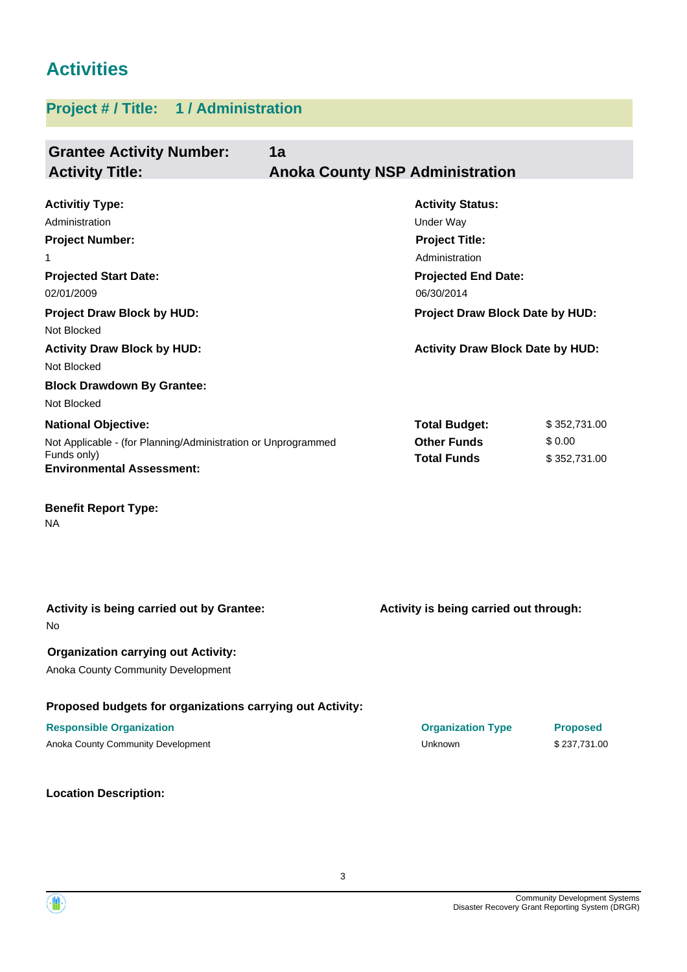# **Activities**

## **Project # / Title: 1 / Administration**

| <b>Grantee Activity Number:</b><br><b>Activity Title:</b>                                                                                                                                                                      | 1a | <b>Anoka County NSP Administration</b>                                                                                                                                                                           |                                        |
|--------------------------------------------------------------------------------------------------------------------------------------------------------------------------------------------------------------------------------|----|------------------------------------------------------------------------------------------------------------------------------------------------------------------------------------------------------------------|----------------------------------------|
| <b>Activitiy Type:</b><br>Administration<br><b>Project Number:</b><br>1<br><b>Projected Start Date:</b><br>02/01/2009<br><b>Project Draw Block by HUD:</b><br>Not Blocked<br><b>Activity Draw Block by HUD:</b><br>Not Blocked |    | <b>Activity Status:</b><br><b>Under Way</b><br><b>Project Title:</b><br>Administration<br><b>Projected End Date:</b><br>06/30/2014<br>Project Draw Block Date by HUD:<br><b>Activity Draw Block Date by HUD:</b> |                                        |
| <b>Block Drawdown By Grantee:</b><br>Not Blocked                                                                                                                                                                               |    |                                                                                                                                                                                                                  |                                        |
| <b>National Objective:</b><br>Not Applicable - (for Planning/Administration or Unprogrammed<br>Funds only)<br><b>Environmental Assessment:</b><br><b>Benefit Report Type:</b><br>ΝA                                            |    | <b>Total Budget:</b><br><b>Other Funds</b><br><b>Total Funds</b>                                                                                                                                                 | \$352,731.00<br>\$0.00<br>\$352,731.00 |
| Activity is being carried out by Grantee:<br>No                                                                                                                                                                                |    | Activity is being carried out through:                                                                                                                                                                           |                                        |
| <b>Organization carrying out Activity:</b><br>Anoka County Community Development                                                                                                                                               |    |                                                                                                                                                                                                                  |                                        |
| Proposed budgets for organizations carrying out Activity:                                                                                                                                                                      |    |                                                                                                                                                                                                                  |                                        |
| <b>Responsible Organization</b><br>Anoka County Community Development                                                                                                                                                          |    | <b>Organization Type</b><br>Unknown                                                                                                                                                                              | <b>Proposed</b><br>\$237,731.00        |

**Location Description:**

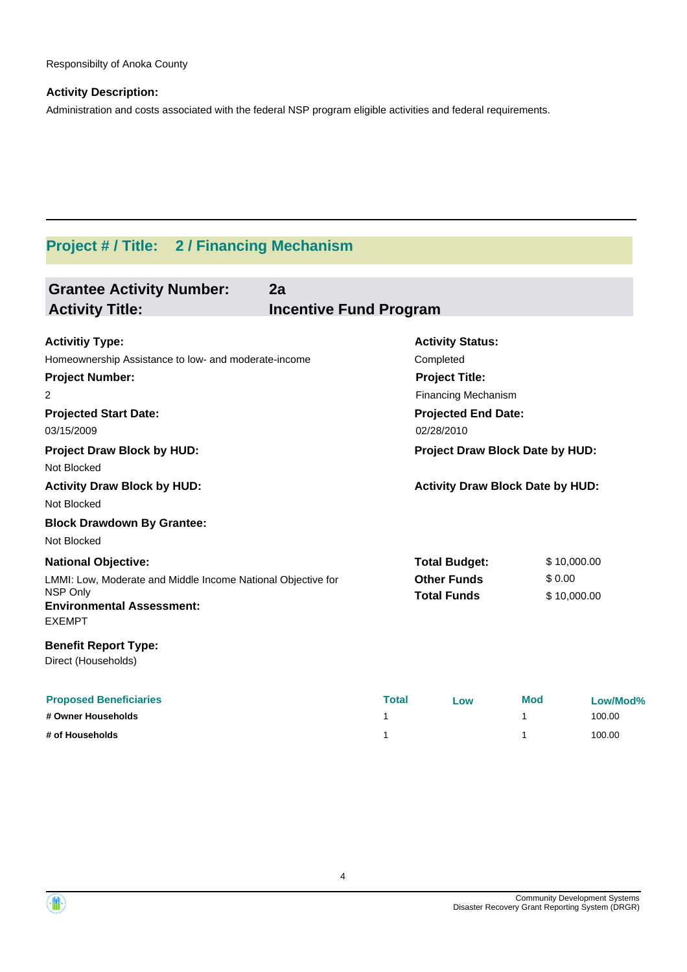#### **Activity Description:**

Administration and costs associated with the federal NSP program eligible activities and federal requirements.

## **Project # / Title: 2 / Financing Mechanism**

| <b>Grantee Activity Number:</b><br>2a<br><b>Activity Title:</b><br><b>Incentive Fund Program</b> |       |                                         |     |                               |
|--------------------------------------------------------------------------------------------------|-------|-----------------------------------------|-----|-------------------------------|
| <b>Activitiy Type:</b>                                                                           |       | <b>Activity Status:</b>                 |     |                               |
| Homeownership Assistance to low- and moderate-income                                             |       | Completed                               |     |                               |
| <b>Project Number:</b>                                                                           |       | <b>Project Title:</b>                   |     |                               |
| 2                                                                                                |       | <b>Financing Mechanism</b>              |     |                               |
| <b>Projected Start Date:</b>                                                                     |       | <b>Projected End Date:</b>              |     |                               |
| 03/15/2009                                                                                       |       | 02/28/2010                              |     |                               |
| <b>Project Draw Block by HUD:</b>                                                                |       | Project Draw Block Date by HUD:         |     |                               |
| Not Blocked                                                                                      |       |                                         |     |                               |
| <b>Activity Draw Block by HUD:</b>                                                               |       | <b>Activity Draw Block Date by HUD:</b> |     |                               |
| Not Blocked                                                                                      |       |                                         |     |                               |
| <b>Block Drawdown By Grantee:</b>                                                                |       |                                         |     |                               |
| Not Blocked                                                                                      |       |                                         |     |                               |
| <b>National Objective:</b>                                                                       |       | <b>Total Budget:</b>                    |     | \$10,000.00                   |
| LMMI: Low, Moderate and Middle Income National Objective for<br>NSP Only                         |       | <b>Other Funds</b>                      |     | \$0.00                        |
| <b>Environmental Assessment:</b>                                                                 |       | <b>Total Funds</b>                      |     | \$10,000.00                   |
| <b>EXEMPT</b>                                                                                    |       |                                         |     |                               |
| <b>Benefit Report Type:</b>                                                                      |       |                                         |     |                               |
| Direct (Households)                                                                              |       |                                         |     |                               |
| <b>Pronosed Reneficiaries</b>                                                                    | Total | $\sim$                                  | Mod | $I_{\text{OM}}/M_{\text{OM}}$ |

| <b>Proposed Beneficiaries</b> | <b>Total</b> | Low | <b>Mod</b> | Low/Mod% |
|-------------------------------|--------------|-----|------------|----------|
| # Owner Households            |              |     |            | 100.00   |
| # of Households               |              |     |            | 100.00   |

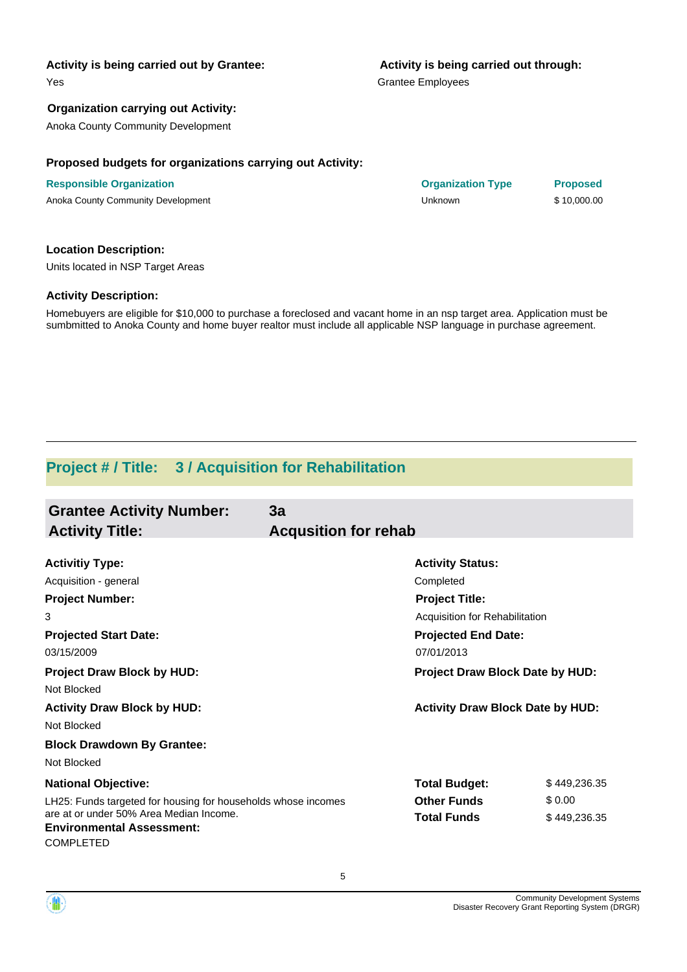#### **Activity is being carried out by Grantee:**

Yes

#### **Organization carrying out Activity:**

Anoka County Community Development

#### **Proposed budgets for organizations carrying out Activity:**

| <b>Responsible Organization</b>    | <b>Organization Type</b> | <b>Proposed</b> |
|------------------------------------|--------------------------|-----------------|
| Anoka County Community Development | Unknown                  | \$10,000.00     |

#### **Location Description:**

Units located in NSP Target Areas

#### **Activity Description:**

Homebuyers are eligible for \$10,000 to purchase a foreclosed and vacant home in an nsp target area. Application must be sumbmitted to Anoka County and home buyer realtor must include all applicable NSP language in purchase agreement.

## **Project # / Title: 3 / Acquisition for Rehabilitation**

| <b>Grantee Activity Number:</b><br><b>Activity Title:</b>                                                                                                                                      | 3a<br><b>Acqusition for rehab</b>                                                                                             |                                        |
|------------------------------------------------------------------------------------------------------------------------------------------------------------------------------------------------|-------------------------------------------------------------------------------------------------------------------------------|----------------------------------------|
| <b>Activitiy Type:</b><br>Acquisition - general<br><b>Project Number:</b><br>3<br><b>Projected Start Date:</b>                                                                                 | <b>Activity Status:</b><br>Completed<br><b>Project Title:</b><br>Acquisition for Rehabilitation<br><b>Projected End Date:</b> |                                        |
| 03/15/2009<br><b>Project Draw Block by HUD:</b>                                                                                                                                                | 07/01/2013<br>Project Draw Block Date by HUD:                                                                                 |                                        |
| Not Blocked<br><b>Activity Draw Block by HUD:</b><br>Not Blocked                                                                                                                               | <b>Activity Draw Block Date by HUD:</b>                                                                                       |                                        |
| <b>Block Drawdown By Grantee:</b><br>Not Blocked                                                                                                                                               |                                                                                                                               |                                        |
| <b>National Objective:</b><br>LH25: Funds targeted for housing for households whose incomes<br>are at or under 50% Area Median Income.<br><b>Environmental Assessment:</b><br><b>COMPLETED</b> | <b>Total Budget:</b><br><b>Other Funds</b><br><b>Total Funds</b>                                                              | \$449,236.35<br>\$0.00<br>\$449,236.35 |

**Responsible Organization Organization Type Proposed**

## **Activity is being carried out through:**

Grantee Employees

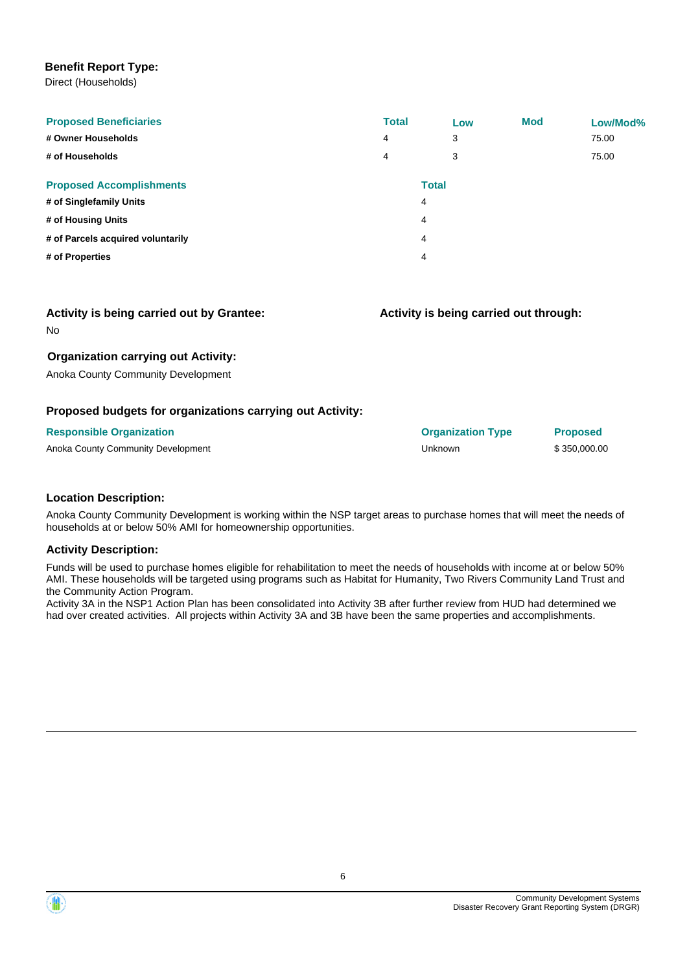#### **Benefit Report Type:**

Direct (Households)

| <b>Proposed Beneficiaries</b><br># Owner Households<br># of Households | <b>Total</b><br>4<br>4 | Low<br>3<br>3 | <b>Mod</b> | Low/Mod%<br>75.00<br>75.00 |
|------------------------------------------------------------------------|------------------------|---------------|------------|----------------------------|
| <b>Proposed Accomplishments</b>                                        |                        | <b>Total</b>  |            |                            |
| # of Singlefamily Units                                                |                        | 4             |            |                            |
| # of Housing Units                                                     |                        | 4             |            |                            |
| # of Parcels acquired voluntarily                                      |                        | 4             |            |                            |
| # of Properties                                                        |                        | 4             |            |                            |

**Activity is being carried out through:**

#### **Activity is being carried out by Grantee:**

No

#### **Organization carrying out Activity:**

Anoka County Community Development

#### **Proposed budgets for organizations carrying out Activity:**

| <b>Responsible Organization</b>    | <b>Organization Type</b> | <b>Proposed</b> |
|------------------------------------|--------------------------|-----------------|
| Anoka County Community Development | Unknown                  | \$350,000,00    |

#### **Location Description:**

Anoka County Community Development is working within the NSP target areas to purchase homes that will meet the needs of households at or below 50% AMI for homeownership opportunities.

#### **Activity Description:**

Funds will be used to purchase homes eligible for rehabilitation to meet the needs of households with income at or below 50% AMI. These households will be targeted using programs such as Habitat for Humanity, Two Rivers Community Land Trust and the Community Action Program.

Activity 3A in the NSP1 Action Plan has been consolidated into Activity 3B after further review from HUD had determined we had over created activities. All projects within Activity 3A and 3B have been the same properties and accomplishments.

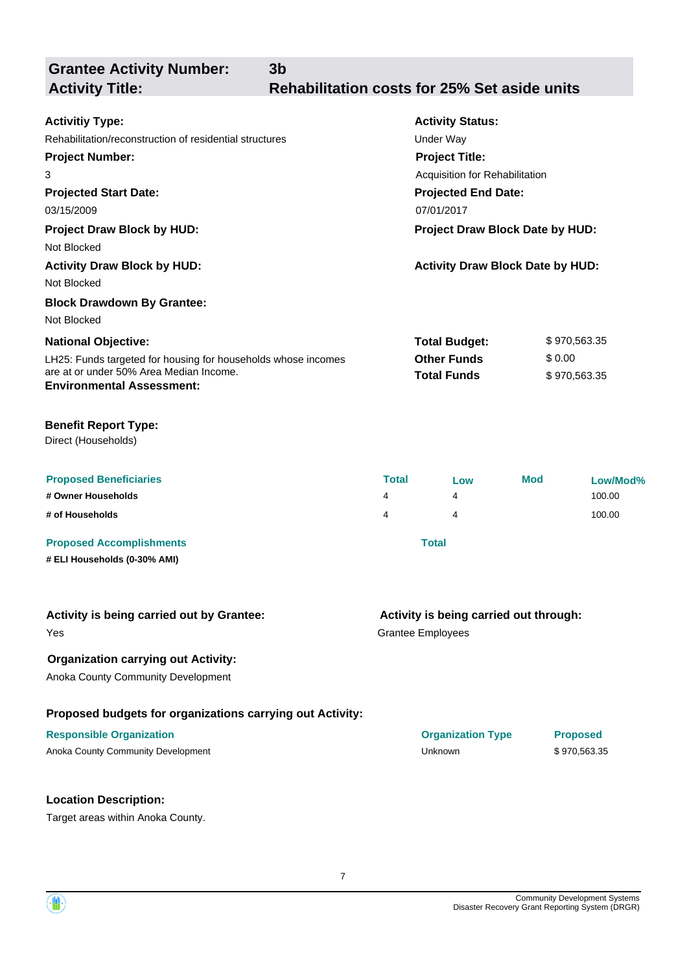**Grantee Activity Number: Projected Start Date:** LH25: Funds targeted for housing for households whose incomes are at or under 50% Area Median Income. **National Objective: Activity Status: Projected End Date: 3b Activitiy Type:** 03/15/2009 07/01/2017 Rehabilitation/reconstruction of residential structures Theorem Constructure Under Way **Activity Title: Rehabilitation costs for 25% Set aside units Project Number:** 3 **Project Title:** Acquisition for Rehabilitation **Total Budget:** \$ 970,563.35 **Other Funds** \$ 0.00 **Total Funds** \$ 970,563.35 **Environmental Assessment: Project Draw Block by HUD: Project Draw Block Date by HUD:** Not Blocked **Activity Draw Block by HUD: Activity Draw Block Date by HUD:** Not Blocked **Block Drawdown By Grantee:** Not Blocked

### **Benefit Report Type:**

Direct (Households)

| <b>Proposed Beneficiaries</b>   | Total | Low   | Mod | Low/Mod% |
|---------------------------------|-------|-------|-----|----------|
| # Owner Households              | 4     | 4     |     | 100.00   |
| # of Households                 | 4     |       |     | 100.00   |
| <b>Proposed Accomplishments</b> |       | Total |     |          |

**# ELI Households (0-30% AMI)**

| Activity is being carried out by Grantee:                 | Activity is being carried out through: |
|-----------------------------------------------------------|----------------------------------------|
| Yes                                                       | <b>Grantee Employees</b>               |
| <b>Organization carrying out Activity:</b>                |                                        |
| Anoka County Community Development                        |                                        |
| Proposed budgets for organizations carrying out Activity: |                                        |

Anoka County Community Development **Anoka County Community Development** County Community Development County County

#### **Location Description:**

Target areas within Anoka County.



**Responsible Organization Organization Type Proposed**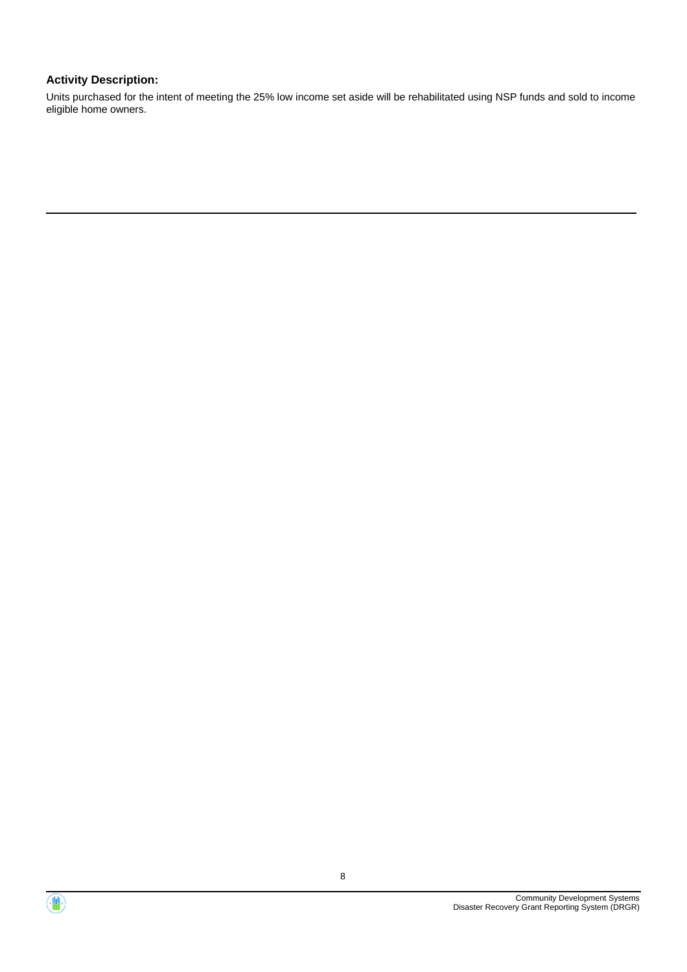### **Activity Description:**

Units purchased for the intent of meeting the 25% low income set aside will be rehabilitated using NSP funds and sold to income eligible home owners.



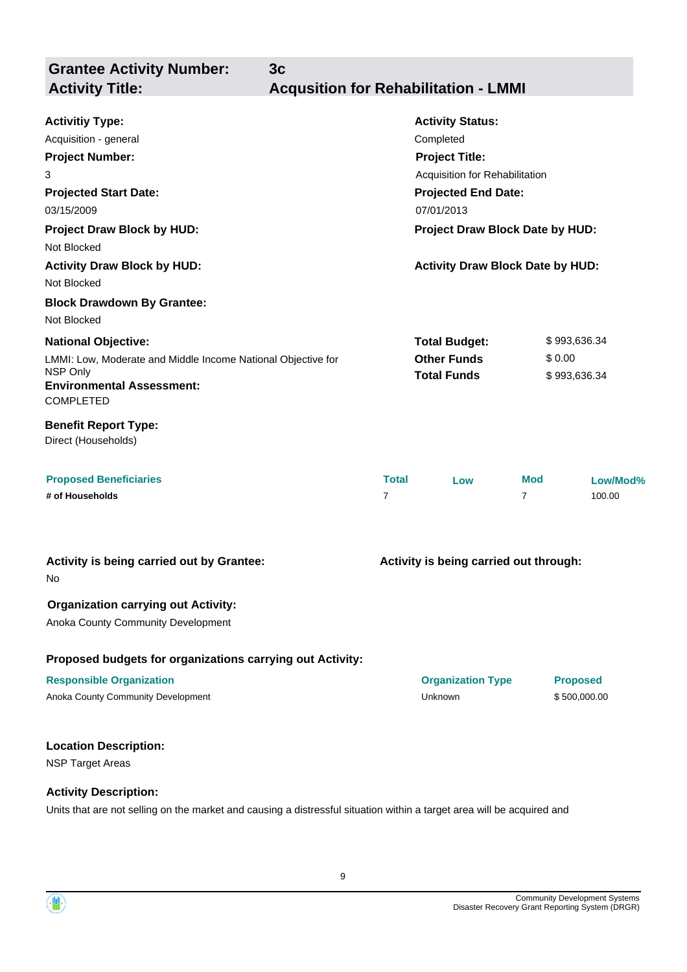**Grantee Activity Number:**

**3c**

## **Activity Title: Acqusition for Rehabilitation - LMMI**

| <b>Activitiy Type:</b>                                               |                                        | <b>Activity Status:</b>                 |                |          |
|----------------------------------------------------------------------|----------------------------------------|-----------------------------------------|----------------|----------|
| Acquisition - general                                                | Completed                              |                                         |                |          |
| <b>Project Number:</b>                                               |                                        | <b>Project Title:</b>                   |                |          |
| 3                                                                    | Acquisition for Rehabilitation         |                                         |                |          |
| <b>Projected Start Date:</b>                                         |                                        | <b>Projected End Date:</b>              |                |          |
| 03/15/2009                                                           | 07/01/2013                             |                                         |                |          |
| <b>Project Draw Block by HUD:</b>                                    |                                        | Project Draw Block Date by HUD:         |                |          |
| Not Blocked                                                          |                                        |                                         |                |          |
| <b>Activity Draw Block by HUD:</b>                                   |                                        | <b>Activity Draw Block Date by HUD:</b> |                |          |
| Not Blocked                                                          |                                        |                                         |                |          |
| <b>Block Drawdown By Grantee:</b>                                    |                                        |                                         |                |          |
| Not Blocked                                                          |                                        |                                         |                |          |
| <b>National Objective:</b>                                           |                                        | \$993,636.34<br><b>Total Budget:</b>    |                |          |
| LMMI: Low, Moderate and Middle Income National Objective for         |                                        | <b>Other Funds</b>                      | \$0.00         |          |
| NSP Only<br><b>Environmental Assessment:</b><br><b>COMPLETED</b>     | <b>Total Funds</b><br>\$993,636.34     |                                         |                |          |
| <b>Benefit Report Type:</b><br>Direct (Households)                   |                                        |                                         |                |          |
| <b>Proposed Beneficiaries</b>                                        | <b>Total</b>                           | Low                                     | <b>Mod</b>     | Low/Mod% |
| # of Households                                                      | $\overline{7}$                         |                                         | $\overline{7}$ | 100.00   |
| Activity is being carried out by Grantee:<br>No                      | Activity is being carried out through: |                                         |                |          |
| <b>Organization carrying out Activity:</b>                           |                                        |                                         |                |          |
| Anoka County Community Development                                   |                                        |                                         |                |          |
|                                                                      |                                        |                                         |                |          |
| Duais agus d'Israel ag fan san an t-athan a sann duas ar t-Alathriti |                                        |                                         |                |          |

#### **Proposed budgets for organizations carrying out Activity:**

#### **Responsible Organization Organization Type Proposed**

Anoka County Community Development and the state of the Unknown County Community Development and the Superintensity of the Unknown \$ 500,000.00

#### **Location Description:**

NSP Target Areas

#### **Activity Description:**

Units that are not selling on the market and causing a distressful situation within a target area will be acquired and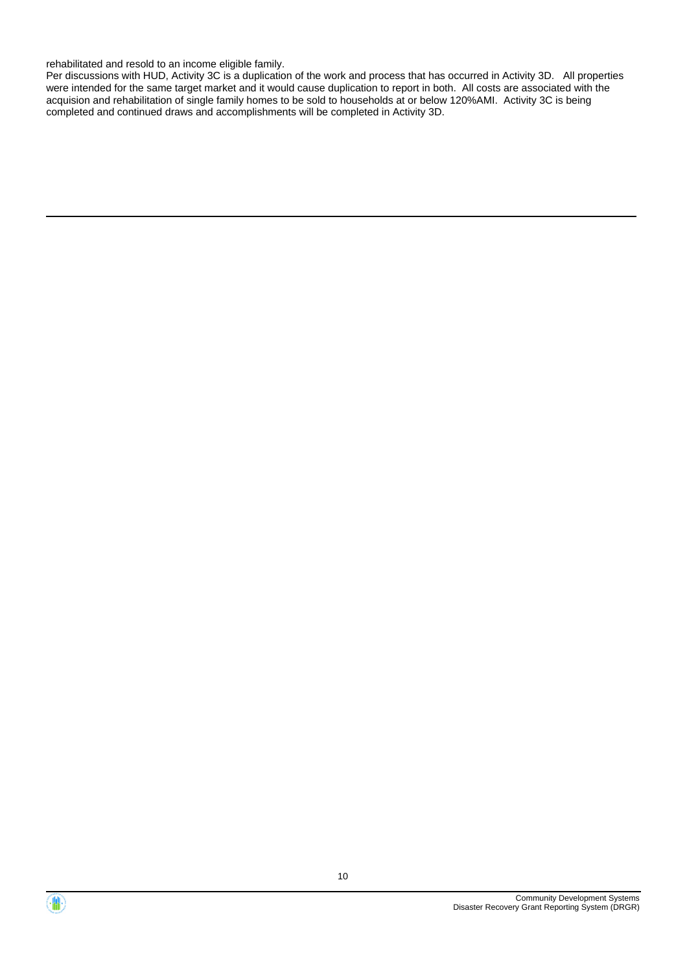rehabilitated and resold to an income eligible family.

Per discussions with HUD, Activity 3C is a duplication of the work and process that has occurred in Activity 3D. All properties were intended for the same target market and it would cause duplication to report in both. All costs are associated with the acquision and rehabilitation of single family homes to be sold to households at or below 120%AMI. Activity 3C is being completed and continued draws and accomplishments will be completed in Activity 3D.



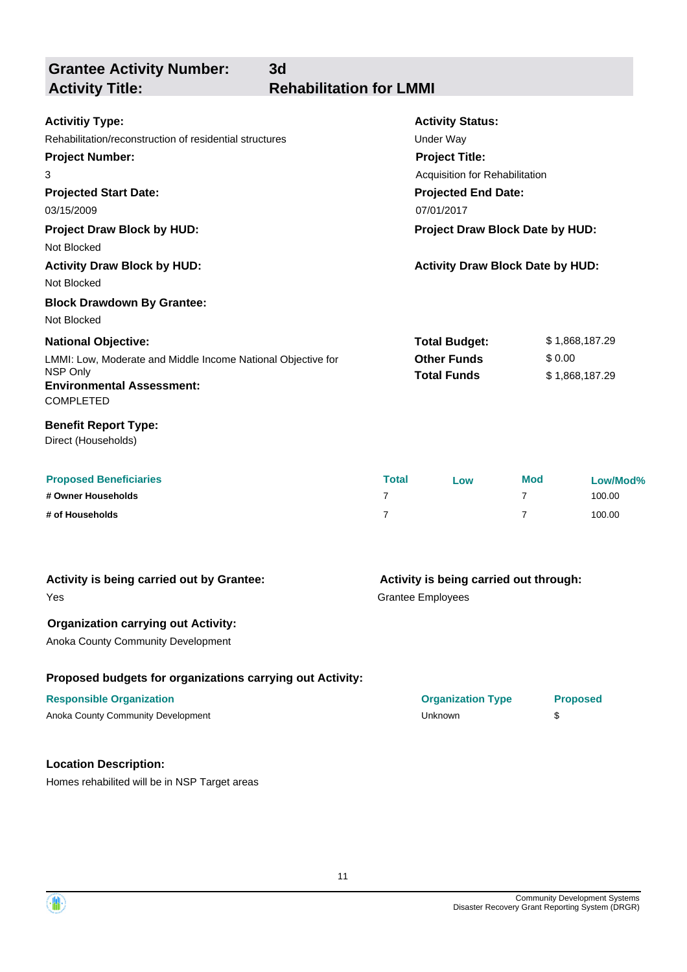**Grantee Activity Number:**

**Activity Title: Rehabilitation for LMMI**

**3d**

| <b>Activitiy Type:</b>                                       | <b>Activity Status:</b>                 |                |
|--------------------------------------------------------------|-----------------------------------------|----------------|
| Rehabilitation/reconstruction of residential structures      | Under Way                               |                |
| <b>Project Number:</b>                                       | <b>Project Title:</b>                   |                |
| 3                                                            | Acquisition for Rehabilitation          |                |
| <b>Projected Start Date:</b>                                 | <b>Projected End Date:</b>              |                |
| 03/15/2009                                                   | 07/01/2017                              |                |
| <b>Project Draw Block by HUD:</b>                            | <b>Project Draw Block Date by HUD:</b>  |                |
| Not Blocked                                                  |                                         |                |
| <b>Activity Draw Block by HUD:</b>                           | <b>Activity Draw Block Date by HUD:</b> |                |
| Not Blocked                                                  |                                         |                |
| <b>Block Drawdown By Grantee:</b>                            |                                         |                |
| Not Blocked                                                  |                                         |                |
| <b>National Objective:</b>                                   | <b>Total Budget:</b>                    | \$1,868,187.29 |
| LMMI: Low, Moderate and Middle Income National Objective for | <b>Other Funds</b>                      | \$0.00         |
| NSP Only                                                     | <b>Total Funds</b>                      | \$1,868,187.29 |
| <b>Environmental Assessment:</b>                             |                                         |                |
| <b>COMPLETED</b>                                             |                                         |                |
| <b>Benefit Report Type:</b>                                  |                                         |                |
| Direct (Households)                                          |                                         |                |

| <b>Proposed Beneficiaries</b> | <b>Total</b> | LOW | <b>Mod</b> | Low/Mod% |
|-------------------------------|--------------|-----|------------|----------|
| # Owner Households            |              |     |            | 100.00   |
| # of Households               |              |     |            | 100.00   |

| Activity is being carried out by Grantee:                 | Activity is being carried out through: |                 |
|-----------------------------------------------------------|----------------------------------------|-----------------|
| Yes                                                       | <b>Grantee Employees</b>               |                 |
| <b>Organization carrying out Activity:</b>                |                                        |                 |
| <b>Anoka County Community Development</b>                 |                                        |                 |
| Proposed budgets for organizations carrying out Activity: |                                        |                 |
| <b>Responsible Organization</b>                           | <b>Organization Type</b>               | <b>Proposed</b> |
| Anoka County Community Development                        | <b>Unknown</b>                         | \$              |
|                                                           |                                        |                 |
| <b>Location Description:</b>                              |                                        |                 |

Homes rehabilited will be in NSP Target areas

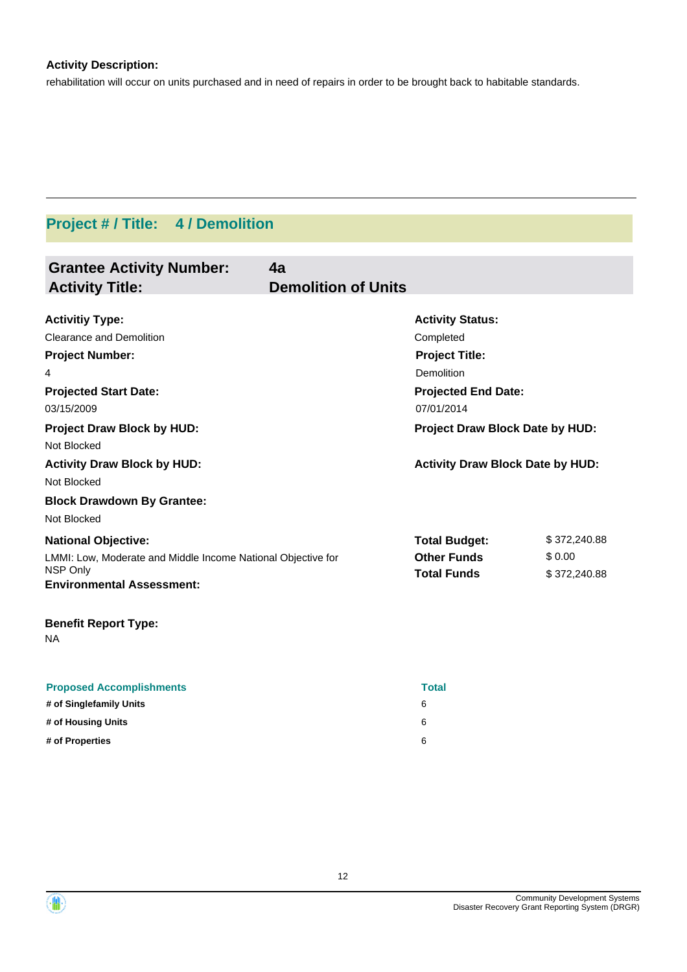## **Activity Description:**

rehabilitation will occur on units purchased and in need of repairs in order to be brought back to habitable standards.

# **Project # / Title: 4 / Demolition**

| <b>Grantee Activity Number:</b>                                          | 4a                         |                                          |              |  |
|--------------------------------------------------------------------------|----------------------------|------------------------------------------|--------------|--|
| <b>Activity Title:</b>                                                   | <b>Demolition of Units</b> |                                          |              |  |
| <b>Activitiy Type:</b>                                                   |                            | <b>Activity Status:</b>                  |              |  |
| <b>Clearance and Demolition</b>                                          |                            | Completed                                |              |  |
| <b>Project Number:</b>                                                   |                            | <b>Project Title:</b>                    |              |  |
| 4                                                                        |                            | Demolition                               |              |  |
| <b>Projected Start Date:</b>                                             |                            | <b>Projected End Date:</b>               |              |  |
| 03/15/2009                                                               |                            | 07/01/2014                               |              |  |
| <b>Project Draw Block by HUD:</b>                                        |                            | Project Draw Block Date by HUD:          |              |  |
| Not Blocked                                                              |                            |                                          |              |  |
| <b>Activity Draw Block by HUD:</b>                                       |                            | <b>Activity Draw Block Date by HUD:</b>  |              |  |
| Not Blocked                                                              |                            |                                          |              |  |
| <b>Block Drawdown By Grantee:</b>                                        |                            |                                          |              |  |
| Not Blocked                                                              |                            |                                          |              |  |
| <b>National Objective:</b>                                               |                            | <b>Total Budget:</b>                     | \$372,240.88 |  |
| LMMI: Low, Moderate and Middle Income National Objective for<br>NSP Only |                            | <b>Other Funds</b><br><b>Total Funds</b> | \$0.00       |  |
| <b>Environmental Assessment:</b>                                         |                            |                                          | \$372,240.88 |  |
| <b>Benefit Report Type:</b><br>NA.                                       |                            |                                          |              |  |
| <b>Proposed Accomplishments</b>                                          |                            | <b>Total</b>                             |              |  |
| # of Singlefamily Units                                                  |                            | 6                                        |              |  |
| # of Housing Units                                                       |                            | 6                                        |              |  |
| # of Properties                                                          |                            | 6                                        |              |  |



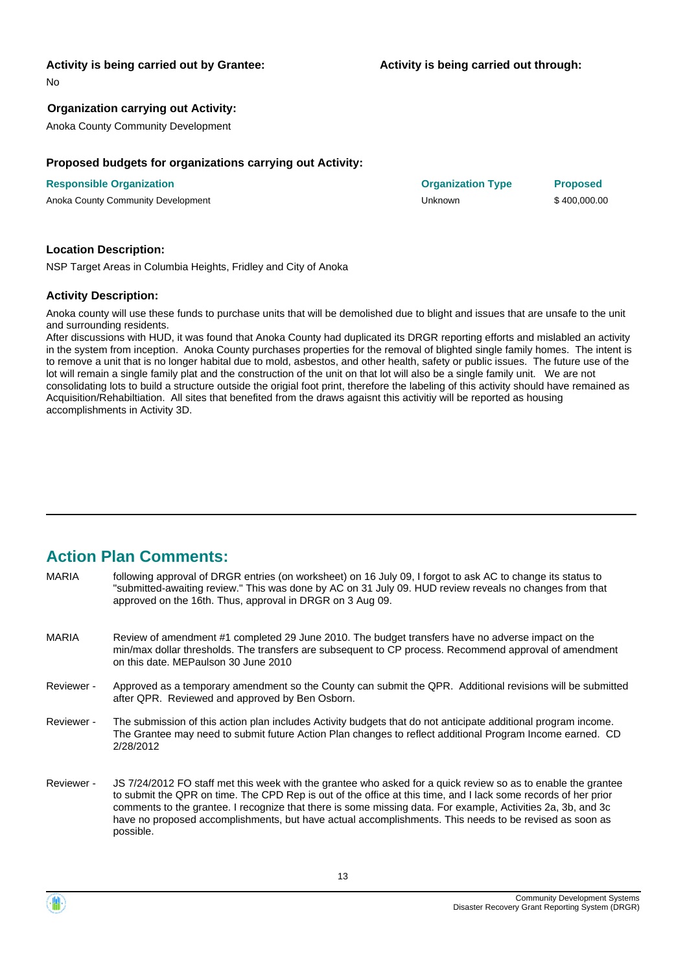#### **Activity is being carried out by Grantee:**

No

#### **Organization carrying out Activity:**

Anoka County Community Development

#### **Proposed budgets for organizations carrying out Activity:**

**Responsible Organization Organization Type Proposed** Anoka County Community Development **Anoka County Community Development** County Community Development County County

#### **Location Description:**

NSP Target Areas in Columbia Heights, Fridley and City of Anoka

#### **Activity Description:**

Anoka county will use these funds to purchase units that will be demolished due to blight and issues that are unsafe to the unit and surrounding residents.

After discussions with HUD, it was found that Anoka County had duplicated its DRGR reporting efforts and mislabled an activity in the system from inception. Anoka County purchases properties for the removal of blighted single family homes. The intent is to remove a unit that is no longer habital due to mold, asbestos, and other health, safety or public issues. The future use of the lot will remain a single family plat and the construction of the unit on that lot will also be a single family unit. We are not consolidating lots to build a structure outside the origial foot print, therefore the labeling of this activity should have remained as Acquisition/Rehabiltiation. All sites that benefited from the draws agaisnt this activitiy will be reported as housing accomplishments in Activity 3D.

## **Action Plan Comments:**

| <b>MARIA</b> | following approval of DRGR entries (on worksheet) on 16 July 09, I forgot to ask AC to change its status to<br>"submitted-awaiting review." This was done by AC on 31 July 09. HUD review reveals no changes from that<br>approved on the 16th. Thus, approval in DRGR on 3 Aug 09. |
|--------------|-------------------------------------------------------------------------------------------------------------------------------------------------------------------------------------------------------------------------------------------------------------------------------------|
| <b>MARIA</b> | Review of amendment #1 completed 29 June 2010. The budget transfers have no adverse impact on the<br>min/max dollar thresholds. The transfers are subsequent to CP process. Recommend approval of amendment<br>on this date. MEPaulson 30 June 2010                                 |
| Reviewer -   | Approved as a temporary amendment so the County can submit the QPR. Additional revisions will be submitted<br>after QPR. Reviewed and approved by Ben Osborn.                                                                                                                       |
| Reviewer -   | The submission of this action plan includes Activity budgets that do not anticipate additional program income.<br>The Grantee may need to submit future Action Plan changes to reflect additional Program Income earned. CD<br>2/28/2012                                            |

JS 7/24/2012 FO staff met this week with the grantee who asked for a quick review so as to enable the grantee to submit the QPR on time. The CPD Rep is out of the office at this time, and I lack some records of her prior comments to the grantee. I recognize that there is some missing data. For example, Activities 2a, 3b, and 3c have no proposed accomplishments, but have actual accomplishments. This needs to be revised as soon as possible. Reviewer -



13